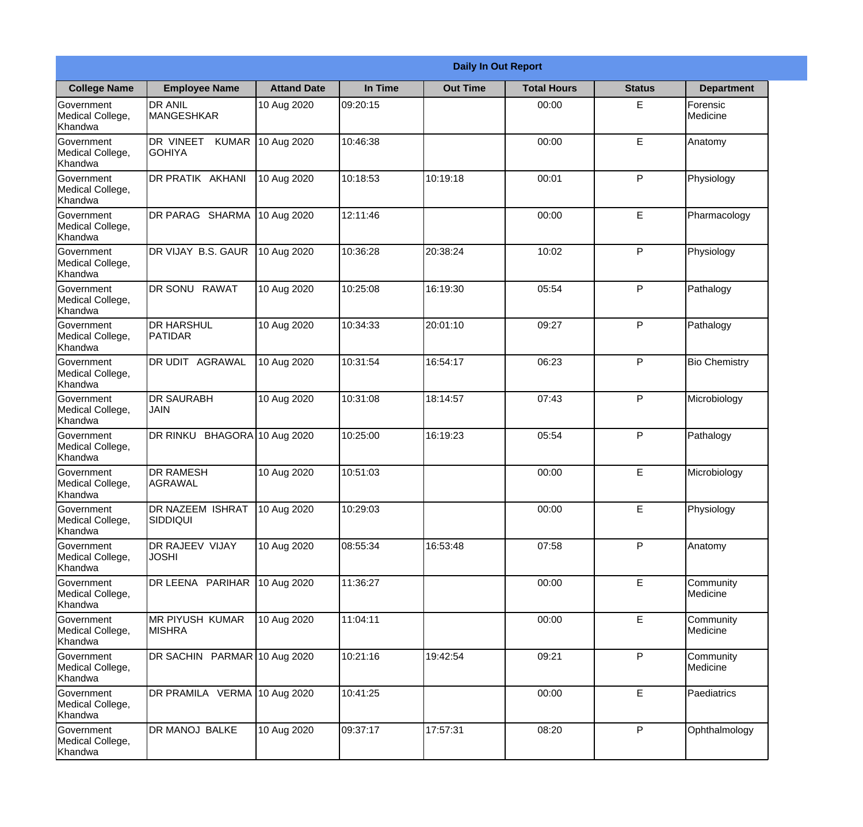|                                           |                                            |                    |          | <b>Daily In Out Report</b> |                    |               |                       |
|-------------------------------------------|--------------------------------------------|--------------------|----------|----------------------------|--------------------|---------------|-----------------------|
| <b>College Name</b>                       | <b>Employee Name</b>                       | <b>Attand Date</b> | In Time  | <b>Out Time</b>            | <b>Total Hours</b> | <b>Status</b> | <b>Department</b>     |
| Government<br>Medical College,<br>Khandwa | <b>DR ANIL</b><br><b>MANGESHKAR</b>        | 10 Aug 2020        | 09:20:15 |                            | 00:00              | E             | Forensic<br>Medicine  |
| Government<br>Medical College,<br>Khandwa | DR VINEET<br><b>KUMAR</b><br><b>GOHIYA</b> | 10 Aug 2020        | 10:46:38 |                            | 00:00              | E             | Anatomy               |
| Government<br>Medical College,<br>Khandwa | DR PRATIK AKHANI                           | 10 Aug 2020        | 10:18:53 | 10:19:18                   | 00:01              | P             | Physiology            |
| Government<br>Medical College,<br>Khandwa | DR PARAG SHARMA                            | 10 Aug 2020        | 12:11:46 |                            | 00:00              | E             | Pharmacology          |
| Government<br>Medical College,<br>Khandwa | DR VIJAY B.S. GAUR                         | 10 Aug 2020        | 10:36:28 | 20:38:24                   | 10:02              | P             | Physiology            |
| Government<br>Medical College,<br>Khandwa | DR SONU RAWAT                              | 10 Aug 2020        | 10:25:08 | 16:19:30                   | 05:54              | P             | Pathalogy             |
| Government<br>Medical College,<br>Khandwa | <b>DR HARSHUL</b><br>PATIDAR               | 10 Aug 2020        | 10:34:33 | 20:01:10                   | 09:27              | P             | Pathalogy             |
| Government<br>Medical College,<br>Khandwa | <b>DR UDIT AGRAWAL</b>                     | 10 Aug 2020        | 10:31:54 | 16:54:17                   | 06:23              | P             | <b>Bio Chemistry</b>  |
| Government<br>Medical College,<br>Khandwa | <b>DR SAURABH</b><br><b>JAIN</b>           | 10 Aug 2020        | 10:31:08 | 18:14:57                   | 07:43              | P             | Microbiology          |
| Government<br>Medical College,<br>Khandwa | DR RINKU<br><b>BHAGORA</b>                 | 10 Aug 2020        | 10:25:00 | 16:19:23                   | 05:54              | P             | Pathalogy             |
| Government<br>Medical College,<br>Khandwa | <b>DR RAMESH</b><br>AGRAWAL                | 10 Aug 2020        | 10:51:03 |                            | 00:00              | E             | Microbiology          |
| Government<br>Medical College,<br>Khandwa | <b>DR NAZEEM ISHRAT</b><br><b>SIDDIQUI</b> | 10 Aug 2020        | 10:29:03 |                            | 00:00              | E             | Physiology            |
| Government<br>Medical College,<br>Khandwa | DR RAJEEV VIJAY<br><b>JOSHI</b>            | 10 Aug 2020        | 08:55:34 | 16:53:48                   | 07:58              | P             | Anatomy               |
| Government<br>Medical College,<br>Khandwa | DR LEENA PARIHAR                           | 10 Aug 2020        | 11:36:27 |                            | 00:00              | E             | Community<br>Medicine |
| Government<br>Medical College,<br>Khandwa | <b>MR PIYUSH KUMAR</b><br>MISHRA           | 10 Aug 2020        | 11:04:11 |                            | 00:00              | E             | Community<br>Medicine |
| Government<br>Medical College,<br>Khandwa | DR SACHIN PARMAR 10 Aug 2020               |                    | 10:21:16 | 19:42:54                   | 09:21              | P             | Community<br>Medicine |
| Government<br>Medical College,<br>Khandwa | DR PRAMILA VERMA 10 Aug 2020               |                    | 10:41:25 |                            | 00:00              | E             | Paediatrics           |
| Government<br>Medical College,<br>Khandwa | DR MANOJ BALKE                             | 10 Aug 2020        | 09:37:17 | 17:57:31                   | 08:20              | P             | Ophthalmology         |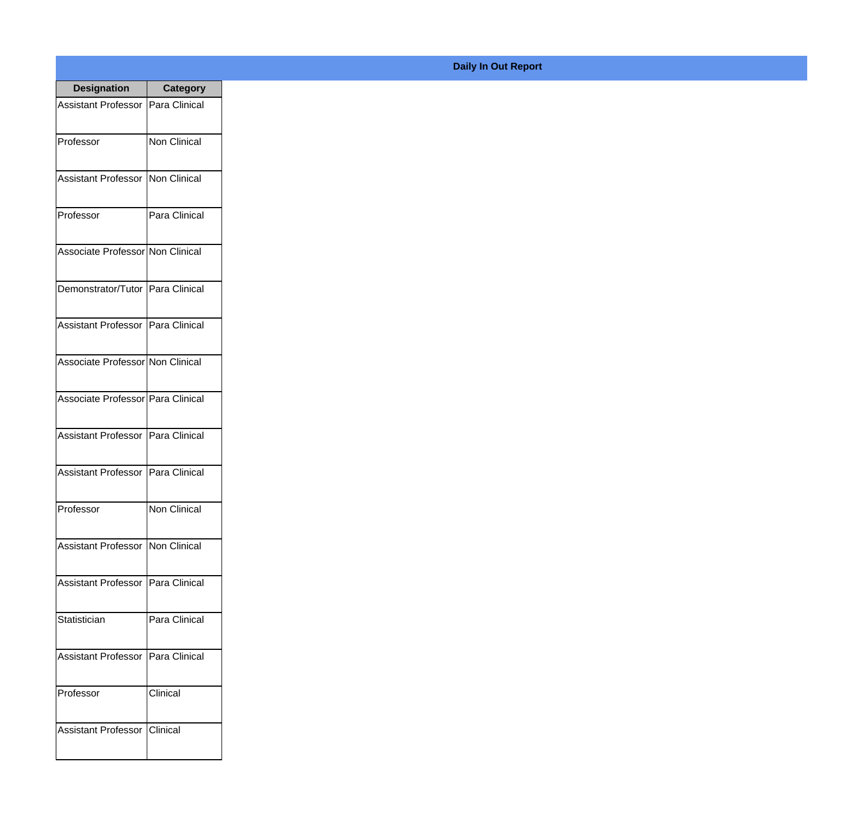| <b>Designation</b>                  | <b>Category</b>  |
|-------------------------------------|------------------|
| Assistant Professor   Para Clinical |                  |
| Professor                           | Non Clinical     |
| Assistant Professor                 | Non Clinical     |
| Professor                           | Para Clinical    |
| Associate Professor Non Clinical    |                  |
| Demonstrator/Tutor   Para Clinical  |                  |
| Assistant Professor   Para Clinical |                  |
| Associate Professor Non Clinical    |                  |
| Associate Professor Para Clinical   |                  |
| <b>Assistant Professor</b>          | Para Clinical    |
| Assistant Professor                 | Para Clinical    |
| Professor                           | Non Clinical     |
| Assistant Professor Non Clinical    |                  |
| <b>Assistant Professor</b>          | Para Clinical    |
| Statistician                        | Para Clinical    |
| <b>Assistant Professor</b>          | Para Clinical    |
| Professor                           | Clinical         |
| <b>Assistant Professor</b>          | <b>C</b> linical |

## **Daily In Out Report**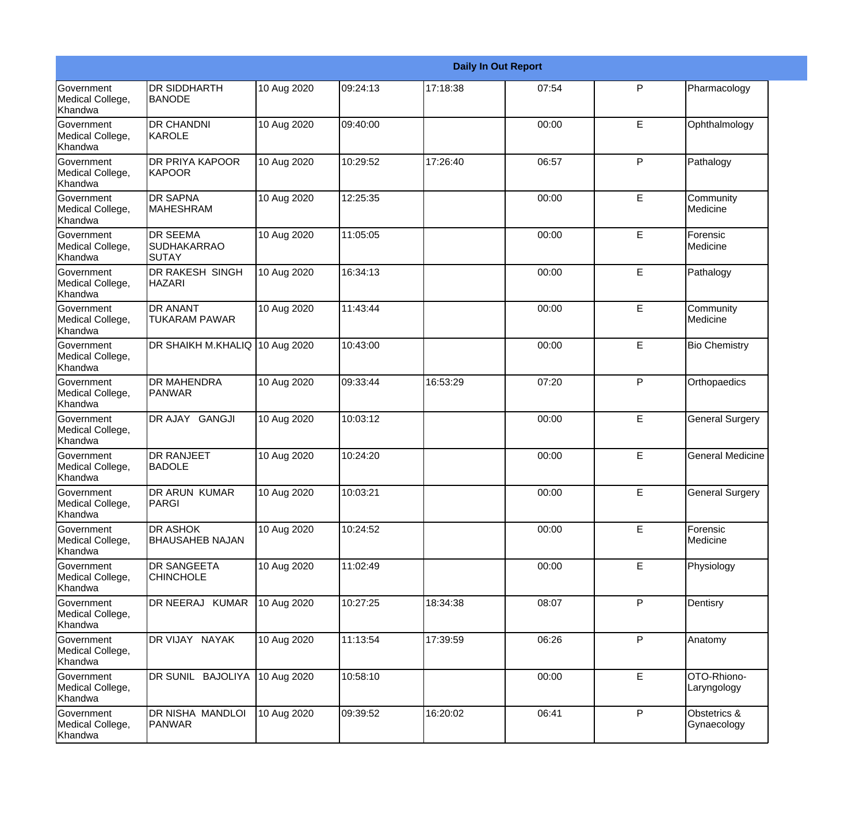|                                                  |                                                |             |          |          | <b>Daily In Out Report</b> |   |                             |
|--------------------------------------------------|------------------------------------------------|-------------|----------|----------|----------------------------|---|-----------------------------|
| <b>Government</b><br>Medical College,<br>Khandwa | <b>DR SIDDHARTH</b><br><b>BANODE</b>           | 10 Aug 2020 | 09:24:13 | 17:18:38 | 07:54                      | P | Pharmacology                |
| Government<br>Medical College,<br>Khandwa        | <b>DR CHANDNI</b><br><b>KAROLE</b>             | 10 Aug 2020 | 09:40:00 |          | 00:00                      | E | Ophthalmology               |
| Government<br>Medical College,<br>Khandwa        | <b>DR PRIYA KAPOOR</b><br><b>KAPOOR</b>        | 10 Aug 2020 | 10:29:52 | 17:26:40 | 06:57                      | P | Pathalogy                   |
| Government<br>Medical College,<br>Khandwa        | <b>DR SAPNA</b><br><b>MAHESHRAM</b>            | 10 Aug 2020 | 12:25:35 |          | 00:00                      | E | Community<br>Medicine       |
| Government<br>Medical College,<br>Khandwa        | <b>DR SEEMA</b><br><b>SUDHAKARRAO</b><br>SUTAY | 10 Aug 2020 | 11:05:05 |          | 00:00                      | E | Forensic<br>Medicine        |
| Government<br>Medical College,<br>Khandwa        | <b>DR RAKESH SINGH</b><br><b>HAZARI</b>        | 10 Aug 2020 | 16:34:13 |          | 00:00                      | E | Pathalogy                   |
| Government<br>Medical College,<br>Khandwa        | <b>DR ANANT</b><br><b>TUKARAM PAWAR</b>        | 10 Aug 2020 | 11:43:44 |          | 00:00                      | E | Community<br>Medicine       |
| Government<br>Medical College,<br>Khandwa        | DR SHAIKH M.KHALIQ 10 Aug 2020                 |             | 10:43:00 |          | 00:00                      | E | <b>Bio Chemistry</b>        |
| <b>Government</b><br>Medical College,<br>Khandwa | <b>DR MAHENDRA</b><br>PANWAR                   | 10 Aug 2020 | 09:33:44 | 16:53:29 | 07:20                      | P | Orthopaedics                |
| Government<br>Medical College,<br>Khandwa        | DR AJAY GANGJI                                 | 10 Aug 2020 | 10:03:12 |          | 00:00                      | E | <b>General Surgery</b>      |
| <b>Government</b><br>Medical College,<br>Khandwa | <b>DR RANJEET</b><br><b>BADOLE</b>             | 10 Aug 2020 | 10:24:20 |          | 00:00                      | E | General Medicine            |
| Government<br>Medical College,<br>Khandwa        | <b>DR ARUN KUMAR</b><br>PARGI                  | 10 Aug 2020 | 10:03:21 |          | 00:00                      | E | <b>General Surgery</b>      |
| Government<br>Medical College,<br>Khandwa        | DR ASHOK<br><b>BHAUSAHEB NAJAN</b>             | 10 Aug 2020 | 10:24:52 |          | 00:00                      | E | Forensic<br>Medicine        |
| Government<br>Medical College,<br>Khandwa        | <b>DR SANGEETA</b><br><b>CHINCHOLE</b>         | 10 Aug 2020 | 11:02:49 |          | 00:00                      | E | Physiology                  |
| <b>Government</b><br>Medical College,<br>Khandwa | DR NEERAJ KUMAR                                | 10 Aug 2020 | 10:27:25 | 18:34:38 | 08:07                      | P | Dentisry                    |
| Government<br>Medical College,<br>Khandwa        | DR VIJAY NAYAK                                 | 10 Aug 2020 | 11:13:54 | 17:39:59 | 06:26                      | P | Anatomy                     |
| Government<br>Medical College,<br>Khandwa        | DR SUNIL BAJOLIYA                              | 10 Aug 2020 | 10:58:10 |          | 00:00                      | E | OTO-Rhiono-<br>Laryngology  |
| Government<br>Medical College,<br>Khandwa        | DR NISHA MANDLOI<br>PANWAR                     | 10 Aug 2020 | 09:39:52 | 16:20:02 | 06:41                      | P | Obstetrics &<br>Gynaecology |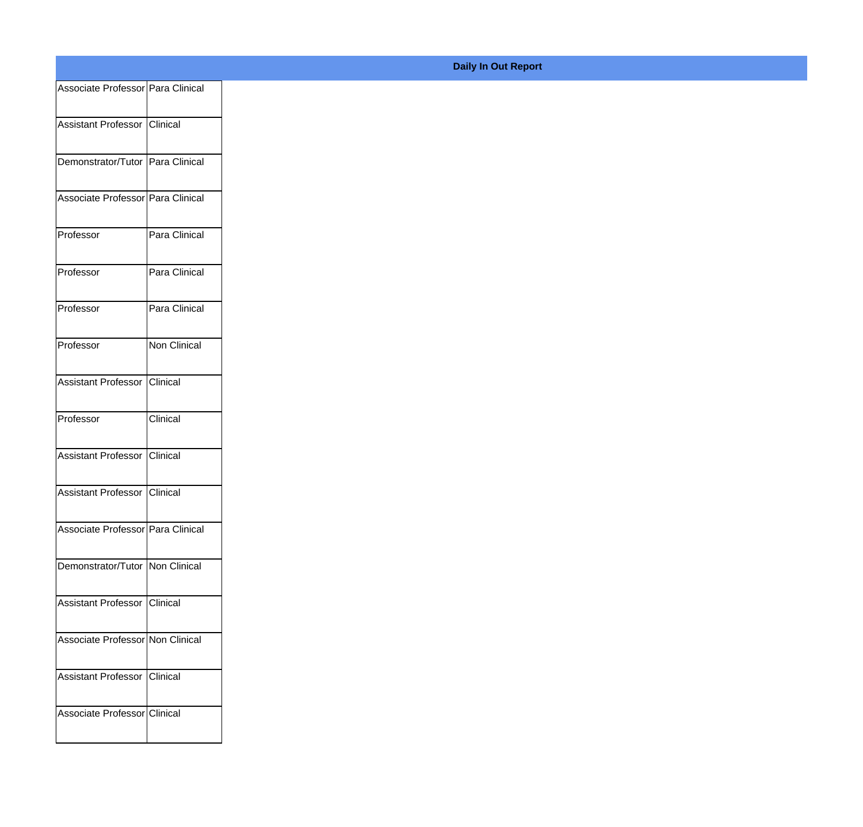| Associate Professor Para Clinical |               |
|-----------------------------------|---------------|
| Assistant Professor Clinical      |               |
|                                   |               |
| Demonstrator/Tutor Para Clinical  |               |
| Associate Professor Para Clinical |               |
|                                   |               |
| Professor                         | Para Clinical |
| Professor                         | Para Clinical |
|                                   |               |
| Professor                         | Para Clinical |
| Professor                         | Non Clinical  |
|                                   |               |
| Assistant Professor Clinical      |               |
| Professor                         | Clinical      |
|                                   |               |
| Assistant Professor Clinical      |               |
| Assistant Professor Clinical      |               |
|                                   |               |
| Associate Professor Para Clinical |               |
| Demonstrator/Tutor   Non Clinical |               |
|                                   |               |
| Assistant Professor Clinical      |               |
| Associate Professor Non Clinical  |               |
|                                   |               |
| Assistant Professor Clinical      |               |
| Associate Professor Clinical      |               |
|                                   |               |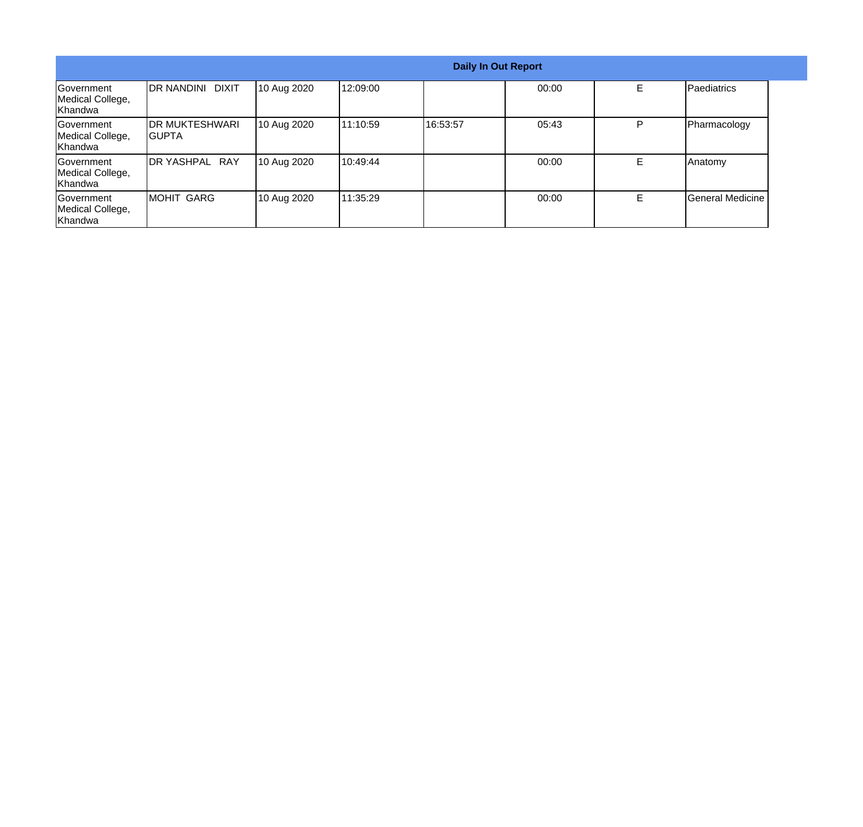|                                                         |                                  |             |          |          | <b>Daily In Out Report</b> |   |                  |
|---------------------------------------------------------|----------------------------------|-------------|----------|----------|----------------------------|---|------------------|
| Government<br>Medical College,<br>Khandwa               | DR NANDINI DIXIT                 | 10 Aug 2020 | 12:09:00 |          | 00:00                      | E | Paediatrics      |
| <b>Government</b><br>Medical College,<br>Khandwa        | <b>IDR MUKTESHWARI</b><br>IGUPTA | 10 Aug 2020 | 11:10:59 | 16:53:57 | 05:43                      | P | Pharmacology     |
| <b>Government</b><br>Medical College,<br>Khandwa        | DR YASHPAL RAY                   | 10 Aug 2020 | 10:49:44 |          | 00:00                      | Е | Anatomy          |
| <b>Government</b><br>Medical College,<br><b>Khandwa</b> | <b>MOHIT GARG</b>                | 10 Aug 2020 | 11:35:29 |          | 00:00                      | Е | General Medicine |